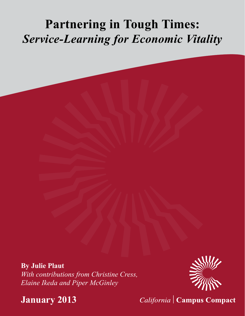# **Partnering in Tough Times:** *Service-Learning for Economic Vitality*

**By Julie Plaut** *With contributions from Christine Cress, Elaine Ikeda and Piper McGinley*



**January 2013**

California | Campus Compact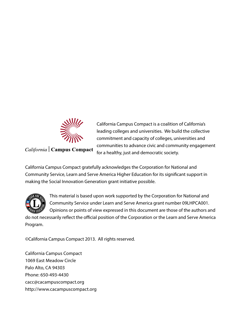

# California | Campus Compact

California Campus Compact is a coalition of California's leading colleges and universities. We build the collective commitment and capacity of colleges, universities and communities to advance civic and community engagement for a healthy, just and democratic society.

California Campus Compact gratefully acknowledges the Corporation for National and Community Service, Learn and Serve America Higher Education for its significant support in making the Social Innovation Generation grant initiative possible.



This material is based upon work supported by the Corporation for National and Community Service under Learn and Serve America grant number 09LHPCA001. Opinions or points of view expressed in this document are those of the authors and

do not necessarily reflect the official position of the Corporation or the Learn and Serve America Program.

©California Campus Compact 2013. All rights reserved.

California Campus Compact 1069 East Meadow Circle Palo Alto, CA 94303 Phone: 650-493-4430 cacc@cacampuscompact.org http://www.cacampuscompact.org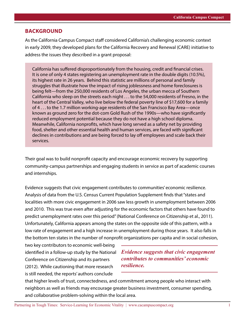#### **Background**

As the California Campus Compact staff considered California's challenging economic context in early 2009, they developed plans for the California Recovery and Renewal (CARE) initiative to address the issues they described in a grant proposal:

California has suffered disproportionately from the housing, credit and financial crises. It is one of only 4 states registering an unemployment rate in the double digits (10.5%), its highest rate in 26 years. Behind this statistic are millions of personal and family struggles that illustrate how the impact of rising joblessness and home foreclosures is being felt—from the 250,000 residents of Los Angeles, the urban mecca of Southern California who sleep on the streets each night . . . to the 54,000 residents of Fresno, in the heart of the Central Valley, who live below the federal poverty line of \$17,600 for a family of 4 . . . to the 1.7 million working-age residents of the San Francisco Bay Area—once known as ground zero for the dot-com Gold Rush of the 1990s—who have significantly reduced employment potential because they do not have a high school diploma. Meanwhile, California nonprofits, which have long served as a safety net by providing food, shelter and other essential health and human services, are faced with significant declines in contributions and are being forced to lay off employees and scale back their services.

Their goal was to build nonprofit capacity and encourage economic recovery by supporting community-campus partnerships and engaging students in service as part of academic courses and internships.

Evidence suggests that civic engagement contributes to communities' economic resilience. Analysis of data from the U.S. Census Current Population Supplement finds that "states and localities with more civic engagement in 2006 saw less growth in unemployment between 2006 and 2010. This was true even after adjusting for the economic factors that others have found to predict unemployment rates over this period" (National Conference on Citizenship et al., 2011). Unfortunately, California appears among the states on the opposite side of this pattern, with a low rate of engagement and a high increase in unemployment during those years. It also falls in the bottom ten states in the number of nonprofit organizations per capita and in social cohesion,

two key contributors to economic well-being Conference on Citizenship and its partners (2012). While cautioning that more research is still needed, the reports' authors conclude

identified in a follow-up study by the National *Evidence suggests that civic engagement contributes to communities' economic resilience.* 

that higher levels of trust, connectedness, and commitment among people who interact with neighbors as well as friends may encourage greater business investment, consumer spending, and collaborative problem-solving within the local area.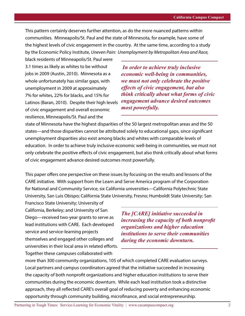This pattern certainly deserves further attention, as do the more nuanced patterns within communities. Minneapolis/St. Paul and the state of Minnesota, for example, have some of the highest levels of civic engagement in the country. At the same time, according to a study by the Economic Policy Institute, *Uneven Pain: Unemployment by Metropolitan Area and Race,* 

black residents of Minneapolis/St. Paul were 3.1 times as likely as whites to be without jobs in 2009 (Austin, 2010). Minnesota as a whole unfortunately has similar gaps, with unemployment in 2009 at approximately 7% for whites, 22% for blacks, and 15% for Latinos (Baran, 2010). Despite their high levels of civic engagement and overall economic resilience, Minneapolis/St. Paul and the

 *In order to achieve truly inclusive economic well-being in communities, we must not only celebrate the positive effects of civic engagement, but also think critically about what forms of civic engagement advance desired outcomes most powerfully.*

state of Minnesota have the highest disparities of the 50 largest metropolitan areas and the 50 states—and those disparities cannot be attributed solely to educational gaps, since significant unemployment disparities also exist among blacks and whites with comparable levels of education. In order to achieve truly inclusive economic well-being in communities, we must not only celebrate the positive effects of civic engagement, but also think critically about what forms of civic engagement advance desired outcomes most powerfully.

This paper offers one perspective on these issues by focusing on the results and lessons of the CARE initiative. With support from the Learn and Serve America program of the Corporation for National and Community Service, six California universities—California Polytechnic State University, San Luis Obispo; California State University, Fresno; Humboldt State University; San

Francisco State University; University of California, Berkeley; and University of San Diego—received two-year grants to serve as lead institutions with CARE. Each developed service and service-learning projects themselves and engaged other colleges and universities in their local area in related efforts. Together these campuses collaborated with

*The [CARE] initiative succeeded in increasing the capacity of both nonprofit organizations and higher education institutions to serve their communities during the economic downturn.*

more than 300 community organizations, 105 of which completed CARE evaluation surveys. Local partners and campus coordinators agreed that the initiative succeeded in increasing the capacity of both nonprofit organizations and higher education institutions to serve their communities during the economic downturn. While each lead institution took a distinctive approach, they all reflected CARE's overall goal of reducing poverty and enhancing economic opportunity through community building, microfinance, and social entrepreneurship.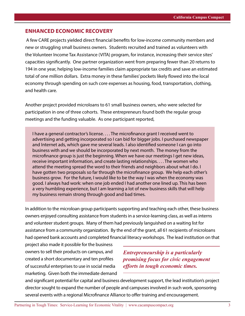#### **Enhanced Economic Recovery**

 A few CARE projects yielded direct financial benefits for low-income community members and new or struggling small business owners. Students recruited and trained as volunteers with the Volunteer Income Tax Assistance (VITA) program, for instance, increasing their service sites' capacities significantly. One partner organization went from preparing fewer than 20 returns to 194 in one year, helping low-income families claim appropriate tax credits and save an estimated total of one million dollars. Extra money in these families' pockets likely flowed into the local economy through spending on such core expenses as housing, food, transportation, clothing, and health care.

Another project provided microloans to 61 small business owners, who were selected for participation in one of three cohorts. These entrepreneurs found both the regular group meetings and the funding valuable. As one participant reported,

I have a general contractor's license. . . . The microfinance grant I received went to advertising and getting incorporated so I can bid for bigger jobs. I purchased newspaper and Internet ads, which gave me several leads. I also identified someone I can go into business with and we should be incorporated by next month. The money from the microfinance group is just the beginning. When we have our meetings I get new ideas, receive important information, and create lasting relationships. . . . The women who attend the meeting spread the word to their friends and neighbors about what I do. I have gotten two proposals so far through the microfinance group. We help each other's business grow. For the future, I would like to be the way I was when the economy was good. I always had work: when one job ended I had another one lined up. This has been a very humbling experience, but I am learning a lot of new business skills that will help my business remain strong through good and bad times.

In addition to the microloan group participants supporting and teaching each other, these business owners enjoyed consulting assistance from students in a service-learning class, as well as interns and volunteer student groups. Many of them had previously languished on a waiting list for assistance from a community organization. By the end of the grant, all 61 recipients of microloans had opened bank accounts and completed financial literacy workshops. The lead institution on that

project also made it possible for the business owners to sell their products on campus, and created a short documentary and ten profiles of successful enterprises to use in social media marketing. Given both the immediate demand

*Entrepreneurship is a particularly promising focus for civic engagement efforts in tough economic times.*

and significant potential for capital and business development support, the lead institution's project director sought to expand the number of people and campuses involved in such work, sponsoring several events with a regional Microfinance Alliance to offer training and encouragement.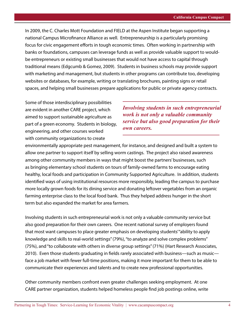In 2009, the C. Charles Mott Foundation and FIELD at the Aspen Institute began supporting a national Campus Microfinance Alliance as well. Entrepreneurship is a particularly promising focus for civic engagement efforts in tough economic times. Often working in partnership with banks or foundations, campuses can leverage funds as well as provide valuable support to wouldbe entrepreneurs or existing small businesses that would not have access to capital through traditional means (Edgcumb & Gomez, 2009). Students in business schools may provide support with marketing and management, but students in other programs can contribute too, developing websites or databases, for example, writing or translating brochures, painting signs or retail spaces, and helping small businesses prepare applications for public or private agency contracts.

Some of those interdisciplinary possibilities are evident in another CARE project, which aimed to support sustainable agriculture as part of a green economy. Students in biology, engineering, and other courses worked with community organizations to create

*Involving students in such entrepreneurial work is not only a valuable community service but also good preparation for their own careers.* 

environmentally appropriate pest management, for instance, and designed and built a system to allow one partner to support itself by selling worm castings. The project also raised awareness among other community members in ways that might boost the partners' businesses, such as bringing elementary school students on tours of family-owned farms to encourage eating healthy, local foods and participation in Community Supported Agriculture. In addition, students identified ways of using institutional resources more responsibly, leading the campus to purchase more locally grown foods for its dining service and donating leftover vegetables from an organic farming enterprise class to the local food bank. Thus they helped address hunger in the short term but also expanded the market for area farmers.

Involving students in such entrepreneurial work is not only a valuable community service but also good preparation for their own careers. One recent national survey of employers found that most want campuses to place greater emphasis on developing students' "ability to apply knowledge and skills to real-world settings" (79%), "to analyze and solve complex problems" (75%), and "to collaborate with others in diverse group settings" (71%) (Hart Research Associates, 2010). Even those students graduating in fields rarely associated with business—such as music face a job market with fewer full-time positions, making it more important for them to be able to communicate their experiences and talents and to create new professional opportunities.

Other community members confront even greater challenges seeking employment. At one CARE partner organization, students helped homeless people find job postings online, write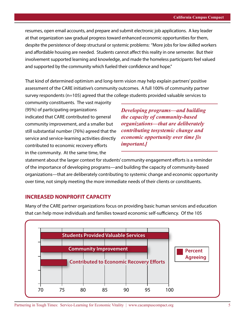resumes, open email accounts, and prepare and submit electronic job applications. A key leader at that organization saw gradual progress toward enhanced economic opportunities for them, despite the persistence of deep structural or systemic problems: "More jobs for low skilled workers and affordable housing are needed. Students cannot affect this reality in one semester. But their involvement supported learning and knowledge, and made the homeless participants feel valued and supported by the community which fueled their confidence and hope."

That kind of determined optimism and long-term vision may help explain partners' positive assessment of the CARE initiative's community outcomes. A full 100% of community partner survey respondents (n=105) agreed that the college students provided valuable services to

community constituents. The vast majority (95%) of participating organizations indicated that CARE contributed to general community improvement, and a smaller but still substantial number (76%) agreed that the service and service-learning activities directly contributed to economic recovery efforts in the community. At the same time, the

*Developing programs—and building the capacity of community-based organizations—that are deliberately contributing tosystemic change and economic opportunity over time [is important.]*

statement about the larger context for students' community engagement efforts is a reminder of the importance of developing programs—and building the capacity of community-based organizations—that are deliberately contributing to systemic change and economic opportunity over time, not simply meeting the more immediate needs of their clients or constituents.

#### **INCREASED NONPROFIT CAPACITY**

Many of the CARE partner organizations focus on providing basic human services and education that can help move individuals and families toward economic self-sufficiency. Of the 105

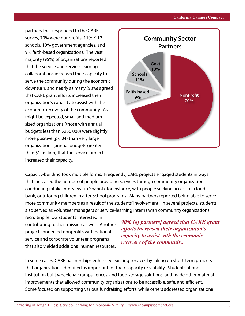partners that responded to the CARE survey, 70% were nonprofits, 11% K-12 schools, 10% government agencies, and 9% faith-based organizations. The vast majority (95%) of organizations reported that the service and service-learning collaborations increased their capacity to serve the community during the economic downturn, and nearly as many (90%) agreed that CARE grant efforts increased their organization's capacity to assist with the economic recovery of the community. As might be expected, small and mediumsized organizations (those with annual budgets less than \$250,000) were slightly more positive ( $p$ <.04) than very large organizations (annual budgets greater than \$1 million) that the service projects increased their capacity.



Capacity-building took multiple forms. Frequently, CARE projects engaged students in ways that increased the number of people providing services through community organizations conducting intake interviews in Spanish, for instance, with people seeking access to a food bank, or tutoring children in after-school programs. Many partners reported being able to serve more community members as a result of the students' involvement. In several projects, students also served as volunteer managers or service-learning interns with community organizations,

recruiting fellow students interested in contributing to their mission as well. Another project connected nonprofits with national service and corporate volunteer programs that also yielded additional human resources.

*90% [of partners] agreed that CARE grant efforts increased their organization's capacity to assist with the economic recovery of the community.*

In some cases, CARE partnerships enhanced existing services by taking on short-term projects that organizations identified as important for their capacity or viability. Students at one institution built wheelchair ramps, fences, and food storage solutions, and made other material improvements that allowed community organizations to be accessible, safe, and efficient. Some focused on supporting various fundraising efforts, while others addressed organizational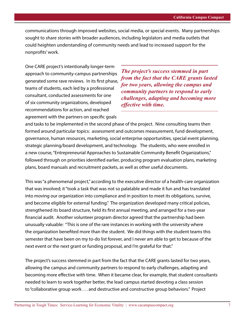communications through improved websites, social media, or special events. Many partnerships sought to share stories with broader audiences, including legislators and media outlets that could heighten understanding of community needs and lead to increased support for the nonprofits' work.

One CARE project's intentionally longer-term approach to community-campus partnerships generated some rave reviews. In its first phase, teams of students, each led by a professional consultant, conducted assessments for one of six community organizations, developed recommendations for action, and reached agreement with the partners on specific goals

*The project's success stemmed in part from the fact that the CARE grants lasted for two years, allowing the campus and community partners to respond to early challenges, adapting and becoming more effective with time.* 

and tasks to be implemented in the second phase of the project. Nine consulting teams then formed around particular topics: assessment and outcomes measurement, fund development, governance, human resources, marketing, social enterprise opportunities, special event planning, strategic planning/board development, and technology. The students, who were enrolled in a new course, "Entrepreneurial Approaches to Sustainable Community Benefit Organizations," followed through on priorities identified earlier, producing program evaluation plans, marketing plans, board manuals and recruitment packets, as well as other useful documents.

This was "a phenomenal project," according to the executive director of a health-care organization that was involved; it "took a task that was not so palatable and made it fun and has translated into moving our organization into compliance and in position to meet its obligations, survive, and become eligible for external funding." The organization developed many critical policies, strengthened its board structure, held its first annual meeting, and arranged for a two-year financial audit. Another volunteer program director agreed that the partnership had been unusually valuable: "This is one of the rare instances in working with the university where the organization benefited more than the student. We did things with the student teams this semester that have been on my to-do list forever, and I never am able to get to because of the next event or the next grant or funding proposal, and I'm grateful for that."

The project's success stemmed in part from the fact that the CARE grants lasted for two years, allowing the campus and community partners to respond to early challenges, adapting and becoming more effective with time. When it became clear, for example, that student consultants needed to learn to work together better, the lead campus started devoting a class session to "collaborative group work . . . and destructive and constructive group behaviors." Project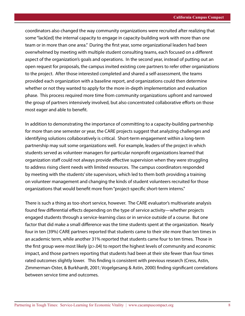coordinators also changed the way community organizations were recruited after realizing that some "lack[ed] the internal capacity to engage in capacity-building work with more than one team or in more than one area." During the first year, some organizational leaders had been overwhelmed by meeting with multiple student consulting teams, each focused on a different aspect of the organization's goals and operations. In the second year, instead of putting out an open request for proposals, the campus invited existing core partners to refer other organizations to the project. After those interested completed and shared a self-assessment, the teams provided each organization with a baseline report, and organizations could then determine whether or not they wanted to apply for the more in-depth implementation and evaluation phase. This process required more time from community organizations upfront and narrowed the group of partners intensively involved, but also concentrated collaborative efforts on those most eager and able to benefit.

In addition to demonstrating the importance of committing to a capacity-building partnership for more than one semester or year, the CARE projects suggest that analyzing challenges and identifying solutions collaboratively is critical. Short-term engagement within a long-term partnership may suit some organizations well. For example, leaders of the project in which students served as volunteer managers for particular nonprofit organizations learned that organization staff could not always provide effective supervision when they were struggling to address rising client needs with limited resources. The campus coordinators responded by meeting with the students' site supervisors, which led to them both providing a training on volunteer management and changing the kinds of student volunteers recruited for those organizations that would benefit more from "project-specific short-term interns."

There is such a thing as too-short service, however. The CARE evaluator's multivariate analysis found few differential effects depending on the type of service activity—whether projects engaged students through a service-learning class or in service outside of a course. But one factor that did make a small difference was the time students spent at the organization. Nearly four in ten (39%) CARE partners reported that students came to their site more than ten times in an academic term, while another 31% reported that students came four to ten times. Those in the first group were most likely (p>.04) to report the highest levels of community and economic impact, and those partners reporting that students had been at their site fewer than four times rated outcomes slightly lower. This finding is consistent with previous research (Cress, Astin, Zimmerman-Oster, & Burkhardt, 2001; Vogelgesang & Astin, 2000) finding significant correlations between service time and outcomes.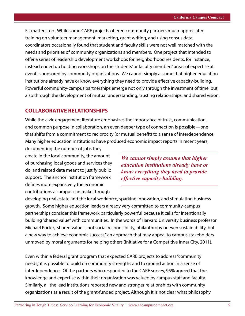Fit matters too. While some CARE projects offered community partners much-appreciated training on volunteer management, marketing, grant writing, and using census data, coordinators occasionally found that student and faculty skills were not well matched with the needs and priorities of community organizations and members. One project that intended to offer a series of leadership development workshops for neighborhood residents, for instance, instead ended up holding workshops on the students' or faculty members' areas of expertise at events sponsored by community organizations. We cannot simply assume that higher education institutions already have or know everything they need to provide effective capacity-building. Powerful community-campus partnerships emerge not only through the investment of time, but also through the development of mutual understanding, trusting relationships, and shared vision.

### **COLLABORATIVE RELATIONSHIPS**

While the civic engagement literature emphasizes the importance of trust, communication, and common purpose in collaboration, an even deeper type of connection is possible—one that shifts from a commitment to reciprocity (or mutual benefit) to a sense of interdependence. Many higher education institutions have produced economic impact reports in recent years,

documenting the number of jobs they create in the local community, the amount of purchasing local goods and services they do, and related data meant to justify public support. The anchor institution framework defines more expansively the economic contributions a campus can make through

*We cannot simply assume that higher education institutions already have or know everything they need to provide effective capacity-building.*

developing real estate and the local workforce, sparking innovation, and stimulating business growth. Some higher education leaders already very committed to community-campus partnerships consider this framework particularly powerful because it calls for intentionally building "shared value" with communities. In the words of Harvard University business professor Michael Porter, "shared value is not social responsibility, philanthropy or even sustainability, but a new way to achieve economic success," an approach that may appeal to campus stakeholders unmoved by moral arguments for helping others (Initiative for a Competitive Inner City, 2011).

Even within a federal grant program that expected CARE projects to address "community needs," it is possible to build on community strengths and to ground action in a sense of interdependence. Of the partners who responded to the CARE survey, 95% agreed that the knowledge and expertise within their organization was valued by campus staff and faculty. Similarly, all the lead institutions reported new and stronger relationships with community organizations as a result of the grant-funded project. Although it is not clear what philosophy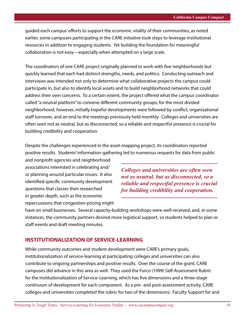guided each campus' efforts to support the economic vitality of their communities, as noted earlier, some campuses participating in the CARE initiative took steps to leverage institutional resources in addition to engaging students. Yet building the foundation for meaningful collaboration is not easy—especially when attempted on a large scale.

The coordinators of one CARE project originally planned to work with five neighborhoods but quickly learned that each had distinct strengths, needs, and politics. Conducting outreach and interviews was intended not only to determine what collaborative projects the campus could participate in, but also to identify local assets and to build neighborhood networks that could address their own concerns. To a certain extent, the project offered what the campus coordinator called "a neutral platform" to convene different community groups; for the most divided neighborhood, however, initially hopeful developments were followed by conflict, organizational staff turnover, and an end to the meetings previously held monthly. Colleges and universities are often seen not as neutral, but as disconnected, so a reliable and respectful presence is crucial for building credibility and cooperation.

Despite the challenges experienced in the asset-mapping project, its coordinators reported positive results. Students' information-gathering led to numerous requests for data from public

and nonprofit agencies and neighborhood associations interested in celebrating and/ or planning around particular issues. It also identified specific community development questions that classes then researched in greater depth, such as the economic repercussions that congestion-pricing might

*Colleges and universities are often seen not as neutral, but as disconnected, so a reliable and respectful presence is crucial for building credibility and cooperation.* 

have on small businesses. Several capacity-building workshops were well-received, and, in some instances, the community partners desired more logistical support, so students helped to plan or staff events and draft meeting minutes.

#### **INSTITUTIONALIZATION OF SERVICE-LEARNING**

While community outcomes and student development were CARE's primary goals, institutionalization of service-learning at participating colleges and universities can also contribute to ongoing partnerships and positive results. Over the course of the grant, CARE campuses did advance in this area as well. They used the Furco (1999) Self-Assessment Rubric for the Institutionalization of Service-Learning, which has five dimensions and a three-stage continuum of development for each component. As a pre- and post-assessment activity, CARE colleges and universities completed the rubric for two of the dimensions: Faculty Support for and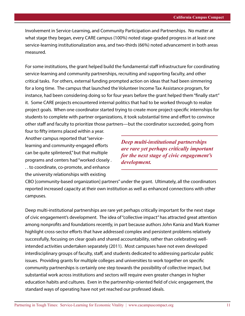Involvement in Service-Learning, and Community Participation and Partnerships. No matter at what stage they began, every CARE campus (100%) noted stage-graded progress in at least one service-learning institutionalization area, and two-thirds (66%) noted advancement in both areas measured.

For some institutions, the grant helped build the fundamental staff infrastructure for coordinating service-learning and community partnerships, recruiting and supporting faculty, and other critical tasks. For others, external funding prompted action on ideas that had been simmering for a long time. The campus that launched the Volunteer Income Tax Assistance program, for instance, had been considering doing so for four years before the grant helped them "finally start" it. Some CARE projects encountered internal politics that had to be worked through to realize project goals. When one coordinator started trying to create more project-specific internships for students to complete with partner organizations, it took substantial time and effort to convince other staff and faculty to prioritize those partners—but the coordinator succeeded, going from

four to fifty interns placed within a year. Another campus reported that "servicelearning and community-engaged efforts can be quite splintered," but that multiple programs and centers had "worked closely . . . to coordinate, co-promote, and enhance the university relationships with existing

*Deep multi-institutional partnerships are rare yet perhaps critically important for the next stage of civic engagement's development.*

CBO [community-based organization] partners" under the grant. Ultimately, all the coordinators reported increased capacity at their own institution as well as enhanced connections with other campuses.

Deep multi-institutional partnerships are rare yet perhaps critically important for the next stage of civic engagement's development. The idea of "collective impact" has attracted great attention among nonprofits and foundations recently, in part because authors John Kania and Mark Kramer highlight cross-sector efforts that have addressed complex and persistent problems relatively successfully, focusing on clear goals and shared accountability, rather than celebrating wellintended activities undertaken separately (2011). Most campuses have not even developed interdisciplinary groups of faculty, staff, and students dedicated to addressing particular public issues. Providing grants for multiple colleges and universities to work together on specific community partnerships is certainly one step towards the possibility of collective impact, but substantial work across institutions and sectors will require even greater changes in higher education habits and cultures. Even in the partnership-oriented field of civic engagement, the standard ways of operating have not yet reached our professed ideals.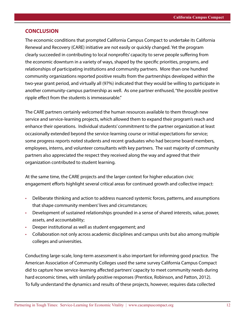#### **CONCLUSION**

The economic conditions that prompted California Campus Compact to undertake its California Renewal and Recovery (CARE) initiative are not easily or quickly changed. Yet the program clearly succeeded in contributing to local nonprofits' capacity to serve people suffering from the economic downturn in a variety of ways, shaped by the specific priorities, programs, and relationships of participating institutions and community partners. More than one hundred community organizations reported positive results from the partnerships developed within the two-year grant period, and virtually all (97%) indicated that they would be willing to participate in another community-campus partnership as well. As one partner enthused, "the possible positive ripple effect from the students is immeasurable."

The CARE partners certainly welcomed the human resources available to them through new service and service-learning projects, which allowed them to expand their program's reach and enhance their operations. Individual students' commitment to the partner organization at least occasionally extended beyond the service-learning course or initial expectations for service; some progress reports noted students and recent graduates who had become board members, employees, interns, and volunteer consultants with key partners. The vast majority of community partners also appreciated the respect they received along the way and agreed that their organization contributed to student learning.

At the same time, the CARE projects and the larger context for higher education civic engagement efforts highlight several critical areas for continued growth and collective impact:

- Deliberate thinking and action to address nuanced systemic forces, patterns, and assumptions that shape community members' lives and circumstances;
- Development of sustained relationships grounded in a sense of shared interests, value, power, assets, and accountability;
- Deeper institutional as well as student engagement; and
- Collaboration not only across academic disciplines and campus units but also among multiple colleges and universities.

Conducting large-scale, long-term assessment is also important for informing good practice. The American Association of Community Colleges used the same survey California Campus Compact did to capture how service-learning affected partners' capacity to meet community needs during hard economic times, with similarly positive responses (Prentice, Robinson, and Patton, 2012). To fully understand the dynamics and results of these projects, however, requires data collected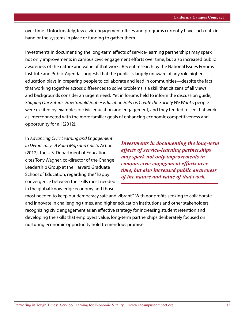over time. Unfortunately, few civic engagement offices and programs currently have such data in hand or the systems in place or funding to gather them.

Investments in documenting the long-term effects of service-learning partnerships may spark not only improvements in campus civic engagement efforts over time, but also increased public awareness of the nature and value of that work. Recent research by the National Issues Forums Institute and Public Agenda suggests that the public is largely unaware of any role higher education plays in preparing people to collaborate and lead in communities—despite the fact that working together across differences to solve problems is a skill that citizens of all views and backgrounds consider an urgent need. Yet in forums held to inform the discussion guide, *Shaping Our Future: How Should Higher Education Help Us Create the Society We Want?,* people were excited by examples of civic education and engagement, and they tended to see that work as interconnected with the more familiar goals of enhancing economic competitiveness and opportunity for all (2012).

In *Advancing Civic Learning and Engagement in Democracy: A Road Map and Call to Action* (2012), the U.S. Department of Education cites Tony Wagner, co-director of the Change Leadership Group at the Harvard Graduate School of Education, regarding the "happy convergence between the skills most needed in the global knowledge economy and those

*Investments in documenting the long-term effects of service-learning partnerships may spark not only improvements in campus civic engagement efforts over time, but also increased public awareness of the nature and value of that work.* 

most needed to keep our democracy safe and vibrant." With nonprofits seeking to collaborate and innovate in challenging times, and higher education institutions and other stakeholders recognizing civic engagement as an effective strategy for increasing student retention and developing the skills that employers value, long-term partnerships deliberately focused on nurturing economic opportunity hold tremendous promise.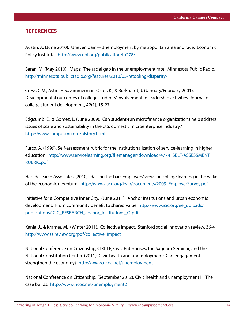#### **REFERENCES**

Austin, A. (June 2010). Uneven pain—Unemployment by metropolitan area and race. Economic Policy Institute. <http://www.epi.org/publication/ib278/>

Baran, M. (May 2010). Maps: The racial gap in the unemployment rate. Minnesota Public Radio. <http://minnesota.publicradio.org/features/2010/05/retooling/disparity/>

Cress, C.M., Astin, H.S., Zimmerman-Oster, K., & Burkhardt, J. (January/February 2001). Developmental outcomes of college students' involvement in leadership activities. Journal of college student development, 42(1), 15-27.

Edgcumb, E., & Gomez, L. (June 2009). Can student-run microfinance organizations help address issues of scale and sustainability in the U.S. domestic microenterprise industry? <http://www.campusmfi.org/history.html>

Furco, A. (1999). Self-assessment rubric for the institutionalization of service-learning in higher education. [http://www.servicelearning.org/filemanager/download/4774\\_SELF-ASSESSMENT\\_](http://www.servicelearning.org/filemanager/download/4774_SELF-ASSESSMENT_RUBRIC.pdf) [RUBRIC.pdf](http://www.servicelearning.org/filemanager/download/4774_SELF-ASSESSMENT_RUBRIC.pdf)

Hart Research Associates. (2010). Raising the bar: Employers' views on college learning in the wake of the economic downturn. [http://www.aacu.org/leap/documents/2009\\_EmployerSurvey.pdf](http://www.aacu.org/leap/documents/2009_EmployerSurvey.pdf)

Initiative for a Competitive Inner City. (June 2011). Anchor institutions and urban economic development: From community benefit to shared value. [http://www.icic.org/ee\\_uploads/](http://www.icic.org/ee_uploads/publications/ICIC_RESEARCH_anchor_institutions_r2.pdf) [publications/ICIC\\_RESEARCH\\_anchor\\_institutions\\_r2.pdf](http://www.icic.org/ee_uploads/publications/ICIC_RESEARCH_anchor_institutions_r2.pdf)

Kania, J., & Kramer, M. (Winter 2011). Collective impact. Stanford social innovation review, 36-41. [http://www.ssireview.org/pdf/collective\\_impact](http://www.ssireview.org/pdf/collective_impact)

National Conference on Citizenship, CIRCLE, Civic Enterprises, the Saguaro Seminar, and the National Constitution Center. (2011). Civic health and unemployment: Can engagement strengthen the economy? <http://www.ncoc.net/unemployment>

National Conference on Citizenship. (September 2012). Civic health and unemployment II: The case builds. <http://www.ncoc.net/unemployment2>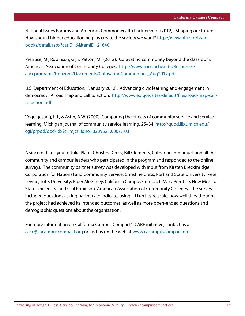National Issues Forums and American Commonwealth Partnership. (2012). Shaping our future: How should higher education help us create the society we want? [http://www.nifi.org/issue\\_](http://www.nifi.org/issue_books/detail.aspx?catID=6&itemID=21640) [books/detail.aspx?catID=6&itemID=21640](http://www.nifi.org/issue_books/detail.aspx?catID=6&itemID=21640)

Prentice, M., Robinson, G., & Patton, M. (2012). Cultivating community beyond the classroom. American Association of Community Colleges. [http://www.aacc.nche.edu/Resources/](http://www.aacc.nche.edu/Resources/aaccprograms/horizons/Documents/CultivatingCommunities_Aug2012.pdf) [aaccprograms/horizons/Documents/CultivatingCommunities\\_Aug2012.pdf](http://www.aacc.nche.edu/Resources/aaccprograms/horizons/Documents/CultivatingCommunities_Aug2012.pdf)

U.S. Department of Education. (January 2012). Advancing civic learning and engagement in democracy: A road map and call to action. [http://www.ed.gov/sites/default/files/road-map-call](http://www.ed.gov/sites/default/files/road-map-call-to-action.pdf)[to-action.pdf](http://www.ed.gov/sites/default/files/road-map-call-to-action.pdf)

Vogelgesang, L.J., & Astin, A.W. (2000). Comparing the effects of community service and servicelearning. Michigan journal of community service learning, 25–34. [http://quod.lib.umich.edu/](http://quod.lib.umich.edu/cgi/p/pod/dod-idx?c=mjcsl;idno=3239521.0007.103) [cgi/p/pod/dod-idx?c=mjcsl;idno=3239521.0007.103](http://quod.lib.umich.edu/cgi/p/pod/dod-idx?c=mjcsl;idno=3239521.0007.103)

A sincere thank you to Julie Plaut, Christine Cress, Bill Clements, Catherine Immanuel, and all the community and campus leaders who participated in the program and responded to the online surveys. The community partner survey was developed with input from Kirsten Breckinridge, Corporation for National and Community Service; Christine Cress, Portland State University; Peter Levine, Tufts University; Piper McGinley, California Campus Compact; Mary Prentice, New Mexico State University; and Gail Robinson, American Association of Community Colleges. The survey included questions asking partners to indicate, using a Likert-type scale, how well they thought the project had achieved its intended outcomes, as well as more open-ended questions and demographic questions about the organization.

For more information on California Campus Compact's CARE initiative, contact us at [cacc@cacampuscompact.org](mailto:cacc%40cacampuscompact.org?subject=RE%3A%20California%20Campus%20Compact%27s%20CARE%20Initiative) or visit us on the web at<www.cacampuscompact.org>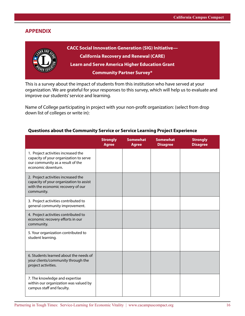## **APPENDIX**



This is a survey about the impact of students from this institution who have served at your organization. We are grateful for your responses to this survey, which will help us to evaluate and improve our students' service and learning.

Name of College participating in project with your non-profit organization: (select from drop down list of colleges or write in):

|                                                                                                                                         | <b>Strongly</b><br><b>Agree</b> | <b>Somewhat</b><br><b>Agree</b> | <b>Somewhat</b><br><b>Disagree</b> | <b>Strongly</b><br><b>Disagree</b> |
|-----------------------------------------------------------------------------------------------------------------------------------------|---------------------------------|---------------------------------|------------------------------------|------------------------------------|
| 1. Project activities increased the<br>capacity of your organization to serve<br>our community as a result of the<br>economic downturn. |                                 |                                 |                                    |                                    |
| 2. Project activities increased the<br>capacity of your organization to assist<br>with the economic recovery of our<br>community.       |                                 |                                 |                                    |                                    |
| 3. Project activities contributed to<br>general community improvement.                                                                  |                                 |                                 |                                    |                                    |
| 4. Project activities contributed to<br>economic recovery efforts in our<br>community.                                                  |                                 |                                 |                                    |                                    |
| 5. Your organization contributed to<br>student learning.                                                                                |                                 |                                 |                                    |                                    |
| 6. Students learned about the needs of<br>your clients/community through the<br>project activities.                                     |                                 |                                 |                                    |                                    |
| 7. The knowledge and expertise<br>within our organization was valued by<br>campus staff and faculty.                                    |                                 |                                 |                                    |                                    |

#### **Questions about the Community Service or Service Learning Project Experience**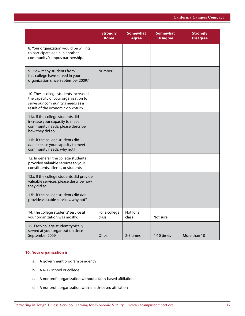|                                                                                                                                                      | <b>Strongly</b><br><b>Agree</b> | <b>Somewhat</b><br><b>Agree</b> | <b>Somewhat</b><br><b>Disagree</b> | <b>Strongly</b><br><b>Disagree</b> |
|------------------------------------------------------------------------------------------------------------------------------------------------------|---------------------------------|---------------------------------|------------------------------------|------------------------------------|
| 8. Your organization would be willing<br>to participate again in another<br>community/campus partnership.                                            |                                 |                                 |                                    |                                    |
| 9. How many students from<br>this college have served in your<br>organization since September 2009?                                                  | Number:                         |                                 |                                    |                                    |
| 10. These college students increased<br>the capacity of your organization to<br>serve our community's needs as a<br>result of the economic downturn. |                                 |                                 |                                    |                                    |
| 11a. If the college students did<br>increase your capacity to meet<br>community needs, please describe<br>how they did so                            |                                 |                                 |                                    |                                    |
| 11b. If the college students did<br>not increase your capacity to meet<br>community needs, why not?                                                  |                                 |                                 |                                    |                                    |
| 12. In general, the college students<br>provided valuable services to your<br>constituents, clients, or students                                     |                                 |                                 |                                    |                                    |
| 13a. If the college students did provide<br>valuable services, please describe how<br>they did so.                                                   |                                 |                                 |                                    |                                    |
| 13b. If the college students did not<br>provide valuable services, why not?                                                                          |                                 |                                 |                                    |                                    |
| 14. The college students' service at<br>your organization was mostly:                                                                                | For a college<br>class          | Not for a<br>class              | Not sure                           |                                    |
| 15. Each college student typically<br>served at your organization since<br>September 2009:                                                           | Once                            | 2-3 times                       | 4-10 times                         | More than 10                       |

#### **16. Your organization is**:

- a. A government program or agency
- b. A K-12 school or college
- c. A nonprofit organization without a faith-based affiliation
- d. A nonprofit organization with a faith-based affiliation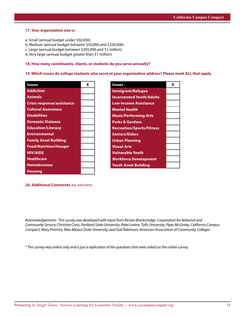#### **17. Your organization size is:**

- a. Small (annual budget under \$50,000)
- b. Medium (annual budget between \$50,000 and \$250,000)
- c. Large (annual budget between \$250,000 and \$1 million)
- d. Very large (annual budget greater than \$1 million)

#### **18. How many constituents, clients, or students do you serve annually?**

#### **19. Which issues do college students who serve at your organization address? Please mark ALL that apply.**

| <b>Issues</b>                     | x |
|-----------------------------------|---|
| <b>Addiction</b>                  |   |
| <b>Animals</b>                    |   |
| <b>Crisis response/assistance</b> |   |
| <b>Cultural Awareness</b>         |   |
| <b>Disabilities</b>               |   |
| <b>Domestic Violence</b>          |   |
| <b>Education/Literacy</b>         |   |
| <b>Environmental</b>              |   |
| <b>Family Asset Building</b>      |   |
| <b>Food/Nutrition/Hunger</b>      |   |
| <b>HIV/AIDS</b>                   |   |
| <b>Healthcare</b>                 |   |
| <b>Homelessness</b>               |   |
| <b>Housing</b>                    |   |

| <b>Issues</b>                    | x |
|----------------------------------|---|
| <b>Immigrant/Refugee</b>         |   |
| <b>Incarcerated Youth/Adults</b> |   |
| <b>Low-Income Assistance</b>     |   |
| <b>Mental Health</b>             |   |
| <b>Music/Performing Arts</b>     |   |
| <b>Parks &amp; Gardens</b>       |   |
| <b>Recreation/Sports/Fitness</b> |   |
| <b>Seniors/Elders</b>            |   |
| <b>Urban Planning</b>            |   |
| <b>Visual Arts</b>               |   |
| <b>Vulnerable Youth</b>          |   |
| <b>Workforce Development</b>     |   |
| <b>Youth Asset Building</b>      |   |

**20. Additional Comments** are welcome

*Acknowledgements: This survey was developed with input from Kirsten Breckinridge, Corporation for National and Community Service; Christine Cress, Portland State University; Peter Levine, Tufts University; Piper McGinley, California Campus Compact; Mary Prentice, New Mexico State University; and Gail Robinson, American Association of Community Colleges*

*\* This survey was online only and is just a replication of the questions that were asked on the online survey.*